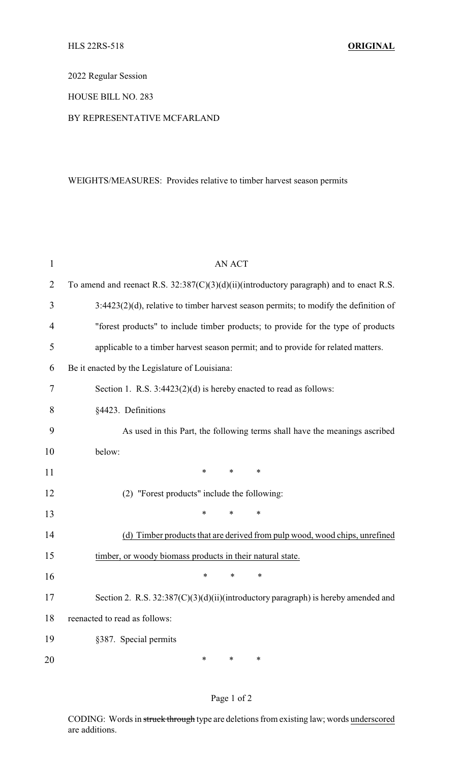2022 Regular Session

HOUSE BILL NO. 283

## BY REPRESENTATIVE MCFARLAND

## WEIGHTS/MEASURES: Provides relative to timber harvest season permits

| $\mathbf{1}$ | <b>AN ACT</b>                                                                           |  |  |  |  |  |
|--------------|-----------------------------------------------------------------------------------------|--|--|--|--|--|
| 2            | To amend and reenact R.S. 32:387(C)(3)(d)(ii)(introductory paragraph) and to enact R.S. |  |  |  |  |  |
| 3            | $3:4423(2)(d)$ , relative to timber harvest season permits; to modify the definition of |  |  |  |  |  |
| 4            | "forest products" to include timber products; to provide for the type of products       |  |  |  |  |  |
| 5            | applicable to a timber harvest season permit; and to provide for related matters.       |  |  |  |  |  |
| 6            | Be it enacted by the Legislature of Louisiana:                                          |  |  |  |  |  |
| 7            | Section 1. R.S. $3:4423(2)(d)$ is hereby enacted to read as follows:                    |  |  |  |  |  |
| 8            | §4423. Definitions                                                                      |  |  |  |  |  |
| 9            | As used in this Part, the following terms shall have the meanings ascribed              |  |  |  |  |  |
| 10           | below:                                                                                  |  |  |  |  |  |
| 11           | *<br>∗<br>∗                                                                             |  |  |  |  |  |
| 12           | (2) "Forest products" include the following:                                            |  |  |  |  |  |
| 13           | *<br>∗<br>*                                                                             |  |  |  |  |  |
| 14           | (d) Timber products that are derived from pulp wood, wood chips, unrefined              |  |  |  |  |  |
| 15           | timber, or woody biomass products in their natural state.                               |  |  |  |  |  |
| 16           | *<br>*<br>*                                                                             |  |  |  |  |  |
| 17           | Section 2. R.S. 32:387(C)(3)(d)(ii)(introductory paragraph) is hereby amended and       |  |  |  |  |  |
| 18           | reenacted to read as follows:                                                           |  |  |  |  |  |
| 19           | §387. Special permits                                                                   |  |  |  |  |  |
| 20           | ∗<br>∗<br>∗                                                                             |  |  |  |  |  |

## Page 1 of 2

CODING: Words in struck through type are deletions from existing law; words underscored are additions.